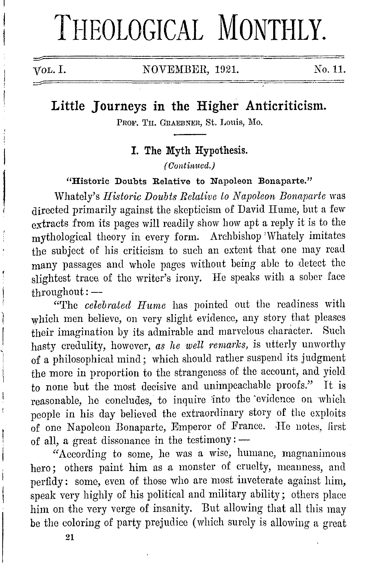# THEOLOGICAL MONTHLY.

j

VOL. I. NOVEMBER, 1921. No. 11.

# **Little Journeys in the Higher Anticriticism.**

PROF. TH. GRAEBNER, St. Louis, Mo.

**I. The Myth Hypothesis.** 

(Continued.)

**"Historic Doubts Relative to Napoleon Bonaparte."** 

Whately's *Historic Doubts Relative to Napoleon Bonaparte* was directed primarily against the skepticism of David Hume, but a few extracts from its pages will readily show how apt a reply it is to the mythological theory in every form. Archbishop 'Whately imitates the subject of his criticism to such an extent that one may read many passages and whole pages without being able to detect the slightest trace of the writer's irony. He speaks with a sober face throughout:-

"'l'hc *celebrated IIwne* has pointed out the readiness with which men believe, on very slight evidence, any story that pleases their imagination by its admirable and marvelous character. Such hasty credulity, however, *as he well remarks,* is utterly unworthy of a philosophical mind; which should rather suspend its judgment the more in proportion to the strangeness of the account, and yield to none but the most decisive and unimpeachable proofs." It is reasonable, he concludes, to inquire into the evidence on which people in his day believed the extraordinary story of the exploits of one Napoleon Bonaparte, Emperor of France. He notes, first of all, a great dissonance in the testimony:  $-$ 

"According to some, he was a wise, humane, magnanimous hero; others paint him as a monster of cruelty, meanness, and perfidy: some, even of those who arc most inveterate against him, speak very highly of his political and military ability; others place him on the very verge of insanity. But allowing that all this may be the coloring of party prejudice ( which surely is allowing a great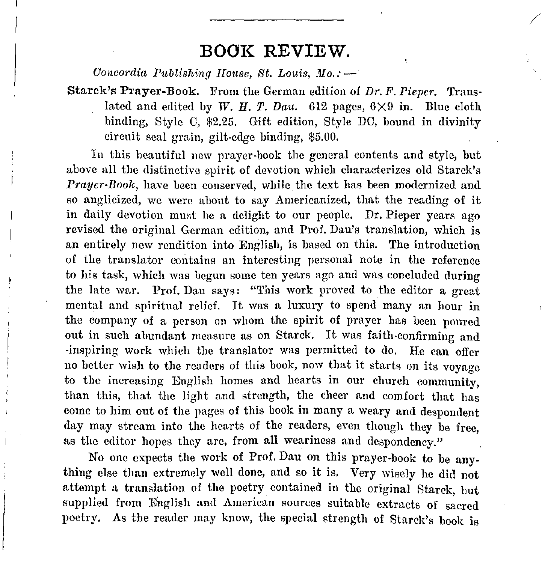## **BOOK REVIEW.**

/

*Concordia Publishing House, St. Louis, Mo.:* -

Starck's Prayer-Book. From the German edition of *Dr. F. Pieper.* Translated and edited by W. H. T. Dau.  $612$  pages,  $6 \times 9$  in. Blue cloth hinding, Style C, \$2.25. Gift edition, Style DC, bound in divinity circuit seal grain, gilt-edge binding, \$5.00.

In this beautiful new prayer-book the general contents and style, but above all the distinctive spirit of devotion which characterizes old Starck's *Prayer-Book,* have been conserved, while the text has been modernized and so anglicized, we were about to say Americanized, that the reading of it in daily devotion must be a delight to our people. Dr. Pieper years ago revised the original German edition, and Prof. Dan's translation, which is an entirely new rendition into English, is based on this. The introduction of the translator contains an interesting personal note in the reference to his task, which was begun some ten years ago and was concluded during the late war. Prof. Dau says: "This work proved to the editor a great mental and spiritual relief. It was a luxury to spend many an hour in the company of a person on whom the spirit of prayer has been poured out in such abundant measure as on Starck. It was faith-confirming and -inspiring work which the translator was permitted to do. Ile can offer no better wish to the readers of this book, now that it starts on its voyage to the increasing English homes and hearts in our church community, than this, that the light and strength, the cheer and comfort that has come to him out of the pages of this book in many a weary and despondent day may stream into the hearts of the readers, even though they be free, as the editor hopes they are, from all weariness and despondency."

No one expects the work of Prof. Dau on this prayer-book to be anything else than extremely well done, and so it is. Very wisely he did not attempt a translation of the poetry· contained in the original Starck, but supplied from Bnglish and American sources suitable extracts of sacred poetry. As the reader may know, the special strength of Starck's book is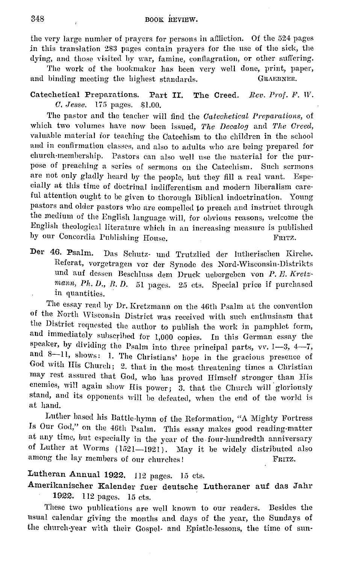the very large number of prayers for persons in affliction. Of the 524 pages in this translation 283 pages contain prayers for the nse of the sick, the dying, and those visited by war, famine, conflagration, or other suffering.

The work of the hookmaker has been very well done, print, paper, and binding meeting the highest standards. GRAEBNER.

Catechetical Preparations. Part II. The Creed. *Rev. Prof. F. W. 0. ,Jesse.* 175 pages. \$1.00.

The pastor and the teacher will find the *Oatechetical Preparations,* of which two volumes have now been issued, *The Decalog* and *The Creed*, valuable material for teaching the Catechism to the children in the school and in confirmation classes, and also to adults who are being prepared for church-membership. Pastors can also well use the material for the purpose of preaching a series of sermons on the Catechism. Such sermons are not only gladly heard by the people, but they fill a real want. Especially at this time of doctrinal indifferentism and modern liberalism care· ful attention ought to be given to thorough Biblical indoctrination. Young pastors and older pastors who are compelled *to* preach and instruct through the medium of the English language will, for obvious reasons, welcome the English theological literature which in an increasing measure is published hy our Concordia Publishing House. FRITZ.

**Der 46. Psalm.** Das Schutz- und Trutzlied der lutherischen Kirche. Referat, vorgetragen vor der Synode des Nord-Wisconsin-Distrikts und auf dessen Beschluss dem Druck uebergeben von *P. E. Kretz*mann, Ph. D., R. D. 51 pages. 25 cts. Special price if purchased in quantities.

The essay read by Dr. Kretzmann on the 46th Psalm at the convention of the North Wisconsin District was received with such enthusiasm that the District requested the author to publish the work in pamphlet form, and immediately subscribed for  $1,000$  copies. In this German essay the speaker, by dividing the Psalm into three principal parts, vv. 1-3, 4-7, and 8-11, shows: 1. The Christians' hope in the gracious presence of God with His Church; 2. that in the most threatening times a Christian may rest assured that God, who has proved Himself stronger than His enemies, will again show His power; 3. that the Church will gloriously stand, and its opponents will be defeated, when the end of the world is at liand.

Luther based his Battle-hymn of the Reformation, "A Mighty Fortress Is Our God," on the 46th Psalm. This essay makes good reading-matter at any time, but especially in the year of the four-hundredth anniversary of Luther at Worms (1521-1921). May it be widely distributed also among the lay members of our churches! FRITZ.

## Lutheran Annual 1922. 112 pages. 15 cts.

Amerikanischer Kalender fuer deutsche Lutheraner auf das Jahr 1922. 112 pages. 15 cts.

These two publications are well known to our readers. Besides the usual calendar giving the months and days of the year, the Sundays of the church-year with their Gospel- and Epistle-lessons, the time of sun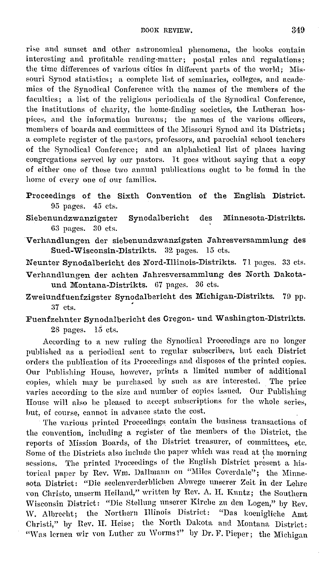rise and sunset and other astronomical phenomena, the books contain interesting and profitable reading-matter; postal rules and regulations; the time differences of various cities in different parts of the world; Missouri Synod statistics; a complete list of seminaries, colleges, and academics of the Synodical Conference with the names of the members of the faculties; a list of the religious periodicals of the Synodical Conference, the institutions of charity, the home-finding societies, the Lutheran hospiees, and the information bureaus; the names of the various ollicers, members of boards and committees of the Missouri Synod and its Districts; a complete register of the pastors, professors, and parochial school teachers of the Synodical Conference; and an alphabetical list of places having congregations served hy our pastors. It goes without saying that a copy of either one of these two annual publications ought to be found in the home of every one of our families.

Proceedings of the Sixth Convention of the English District. 95 pages. 45 cts.

Siebenundzwanzigster Synodalbericht des Minnesota-Distrikts. 63 pages. 30 cts.

Verhandlungen der siebenundzwanzigsten Jahresversammlung des Sued-Wisconsin-Distrikts. 32 pages. 15 cts.

Neunter Synodalbericht des Nord-Illinois-Distrikts. 71 pages. 33 cts.

- Verhandlungen der achten Jahresversammlung des North Dakotaund Montana-Distrikts. 67 pages. 36 cts.
- Zweiundfuenfzigster Synodalbericht des Michigan-Distrikts. 70 pp. 37 cts.

Fuenfzehnter Synodalbericht des Oregon- und Washington-Distrikts. 28 pages. 15 cts.

According to a new ruling the Synoclical Proceedings are no longer published as a periodical sent to regular subscribers, but each District orders the publication of its Proceedings and disposes of the printed copies. Our Publishing House, however, prints a limited number of additional copies, which may be purchased by such as are interested. The price varies according to the size and number of copies issued. Our Publishing House will also be pleased to accept subscriptions for the whole series, hut, of course, cannot in advance state the cost.

The various printed Proceedings contain the business transactions of the convention, including a register of the members of the District, the reports of Mission Boards, of the District treasurer, of committees, etc. Some of the Districts also include the paper which was read at the morning sessions. The printed Proceedings of the English District present a historical paper by Rev. Wm. Dallmann on "Miles Coverdale"; the Minnesofa, District: "Die seclenverderblichen Ahwege unscrer Zeit in der Lehre von Christo, unserm Heilaml," written by Rev. A. H. Kuntz; the Southern \Visconsin District: "Die Stellung unscrer Kirche zn den Logen," by Rev. W. Albrecht; the Northern Illinois District: "Das koeniglichc Amt Christi," by Rev. H. Heise; the North Dakota and Montana District: "Was lernen wir von Luther zu Worms?" by Dr. F. Pieper; the Michigan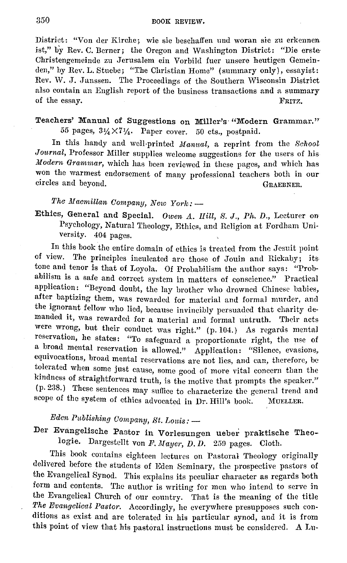District: "Von der Kirche; wie sie beschaffen und woran sie zu erkennen ist," by Rev. C. Demer; the Oregon and Washington District: "Die erste· Christengemeinde zu Jerusalem ein Vorbild fuer unsere heutigen Gemeinden," by Rev. L. Stuebe; "The Christian Home" (summary only), essayist: Rev. W. J. Janssen. The Proceedings of the Southern Wisconsin District also contain an English report of the business transactions and a summary of the essay. FRITZ,

## Teachers' Manual of Suggestions on Miller's "Modern Grammar." 55 pages,  $3\frac{1}{4}\times7\frac{1}{4}$ . Paper cover. 50 cts., postpaid.

In this handy and well-printed *Manual,* a reprint from the *School Journal,* Professor Miller supplies welcome suggestions for the users of his *Jfodern Grammar,* which has been reviewed in these pages, and which bas won the warmest endorsement of many professional teachers both in our circles and beyond. The contraction of the contraction of the GRAEBNER.

*The Macmillan Company, New York:* -

Ethics, General and Special. *Owen A. Hill, S. J., Ph. D., Lecturer on* Psychology, Natural Theology, Ethics, and Religion at Fordham University. 404 pages.

In this book the entire domain of ethics is treated from the Jesuit point of view. The principles inculcated are those of Jouin and Rickaby; its tone and tenor is that of Loyola. Of Probabilism the author says: "Probabilism is a safe and correct system in matters of conscience." Practical application: "Beyond doubt, the lay brother who drowned Chinese babies, after baptizing them, was rewarded for material and formal murder, and the ignorant fellow who lied, because invincibly persuaded that charity demanded it, was rewarded for a material and formal untruth. 'fheir acts were wrong, but their conduct was right." (p. 104.) As regards mental reservation, he states: "To safeguard a proportionate right, the use of a broad mental reservation is allowed." Application: "Silence, evasions, eqnivocations, broad mental reservations arc not lies, and can, therefore, be tolerated when some just cause, some good of more vital concern than the kindness of straightforward truth, is the motive that prompts the speaker." (p. 238.) These sentences may suffice to characterize the general trend and scope of the system of ethics advocated in Dr. Hill's book. MUELLER.

## *Eden Publishing Company, St. Louis:*  $-$

Der Evangelische Pastor in Vorlesungen ueber praktische Theologie. Dargestellt von F. Mayer, D. D. 259 pages. Cloth.

This book contains eighteen lectures on Pastoral Theology originally delivered before the students of Eden Seminary, the prospective pastors of the Evangelical Synod. This explains its peculiar character as regards both form and contents. 'fhe author is writing for men who intend to serve in the Evangelical Church of our country. That is the meaning of the title *The Evangelical Pasto,·.* Accordingly, he everywhere presupposes such conditions as exist and are tolerated in his particular synod, and it is from this point of view that his pastoral instructions must be considered. A Lu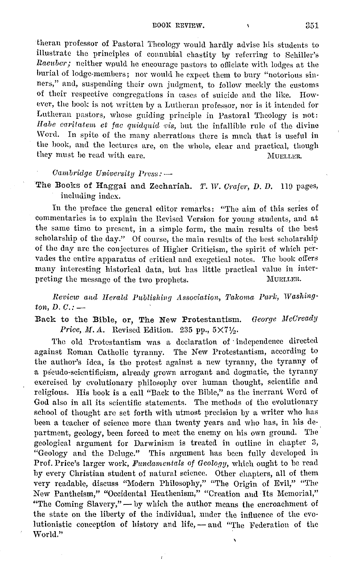theran professor of Pastoral 'l'heology would hardly advise his students to illustrate the principles of connubial chastity by referring to Schiller's *Raenbcr;* neither would he encourage pastors to ofiiciate with lodges at the burial of lodge-members; nor would he expect them to bury "notorious sinners," and, suspending their own judgment, to follow meekly the customs of their respective congregations in cases of suicide and the like. However, the book is not written by a Lutheran professor, nor is it intended for Lutheran pastors, whose guiding principle in Pastoral Theology is not: Habe carilatem et fac quidquid vis, but the infallible rule of the divine Word. In spite of the many aberrations there is much that is useful in the hook, and the lectures are, on the whole, clear and practical, though they must be read with care. MUELLER.

#### *Cambridge University Press:*  $-$

The Books of Haggai and Zechariah. T. W. Crafer, D. D. 119 pages, including index.

In the preface the general editor remarks: "The aim of this series of commentaries is to explain the Revised Version for young students, and at the same time to present, in a simple form, the main results of the best scholarship of the day." Of course, the main results of the best scholarship of the day arc the conjectures of Higher Criticism, the spirit of which pervades the entire apparatus of critical and exegetical notes. The hook offers many interesting historical data, hut has little practical value in interpreting the message of the two prophets. Mum.urn.

*Review and Herald l'ublishing A.ssooiation, 'l.'alcoma l'ai-l:, Washing* $ton, D. C.$ : $-$ 

Back to the Bible, or, The New Protestantism. *George MoOready Price, M.A.* Revised Edition. 235 pp.,  $5 \times 7\frac{1}{2}$ .

The old Protestantism was a declaration of · independence directed against Roman Catholic tyranny. The New Protestantism, according to the author's idea, is the protest against a new tyranny, the tyranny of a pseudo-scientificism, already grown arrogant and dogmatic, the tyranny exercised by evolutionary philosophy over human thought, scientific and religious. His book is a call "Back to the Bible," as the inerrant Word of God also in all its scientific statements. The methods of the evolutionary school of thought are set forth with utmost precision by a writer who has been a teacher of science more than twenty years and who has, in his department, geology, been forced to meet the enemy on his own ground. The geological argument for Darwinism is treated in outline in chapter 3, "Geology and the Deluge." This argument has been fully developed in Prof. Price's larger work, *Fundamentals of Geology*, which ought to be read hy every Christian student of naturnl science. Other chapters, all of them very readable, discuss "Modern Philosophy," "The Origin of Evil," "The New Pantheism," "Occidental Heathenism," "Creation and Its Memorial," "The Coming Slavery," - by which the author means the encroachment of the state on the liberty of the individual, under the influence of the evolutionistic conception of history and life, - and "The Federation of the World."